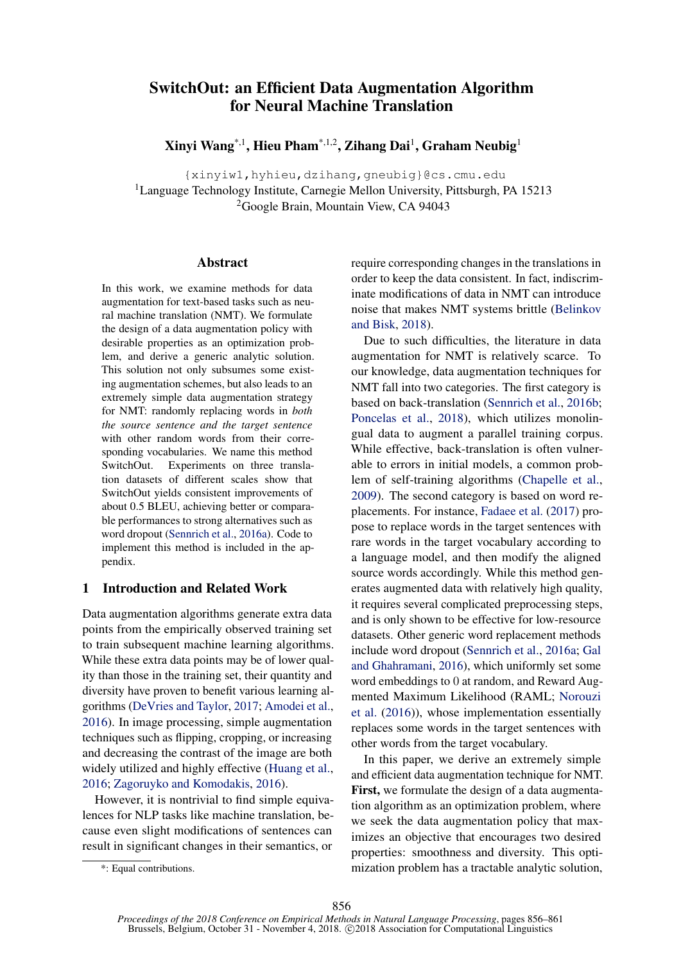# <span id="page-0-2"></span><span id="page-0-0"></span>SwitchOut: an Efficient Data Augmentation Algorithm for Neural Machine Translation

Xinyi Wang\*,1, Hieu Pham\*,1,2, Zihang Dai<sup>1</sup>, Graham Neubig<sup>1</sup>

{xinyiw1,hyhieu,dzihang,gneubig}@cs.cmu.edu <sup>1</sup>Language Technology Institute, Carnegie Mellon University, Pittsburgh, PA 15213 2Google Brain, Mountain View, CA 94043

# Abstract

<span id="page-0-4"></span>In this work, we examine methods for data augmentation for text-based tasks such as neural machine translation (NMT). We formulate the design of a data augmentation policy with desirable properties as an optimization problem, and derive a generic analytic solution. This solution not only subsumes some existing augmentation schemes, but also leads to an extremely simple data augmentation strategy for NMT: randomly replacing words in *both the source sentence and the target sentence* with other random words from their corresponding vocabularies. We name this method SwitchOut. Experiments on three translation datasets of different scales show that SwitchOut yields consistent improvements of about 0.5 BLEU, achieving better or comparable performances to strong alternatives such as word dropout [\(Sennrich et al.,](#page-5-0) [2016a\)](#page-5-0). Code to implement this method is included in the appendix.

# <span id="page-0-5"></span>1 Introduction and Related Work

<span id="page-0-1"></span>Data augmentation algorithms generate extra data points from the empirically observed training set to train subsequent machine learning algorithms. While these extra data points may be of lower quality than those in the training set, their quantity and diversity have proven to benefit various learning algorithms [\(DeVries and Taylor,](#page-5-1) [2017;](#page-5-1) [Amodei et al.,](#page-5-2) [2016\)](#page-5-2). In image processing, simple augmentation techniques such as flipping, cropping, or increasing and decreasing the contrast of the image are both widely utilized and highly effective [\(Huang et al.,](#page-5-3) [2016;](#page-5-3) [Zagoruyko and Komodakis,](#page-5-4) [2016\)](#page-5-4).

<span id="page-0-3"></span>However, it is nontrivial to find simple equivalences for NLP tasks like machine translation, because even slight modifications of sentences can result in significant changes in their semantics, or

require corresponding changes in the translations in order to keep the data consistent. In fact, indiscriminate modifications of data in NMT can introduce noise that makes NMT systems brittle [\(Belinkov](#page-5-5) [and Bisk,](#page-5-5) [2018\)](#page-5-5).

Due to such difficulties, the literature in data augmentation for NMT is relatively scarce. To our knowledge, data augmentation techniques for NMT fall into two categories. The first category is based on back-translation [\(Sennrich et al.,](#page-5-6) [2016b;](#page-5-6) [Poncelas et al.,](#page-5-7) [2018\)](#page-5-7), which utilizes monolingual data to augment a parallel training corpus. While effective, back-translation is often vulnerable to errors in initial models, a common problem of self-training algorithms [\(Chapelle et al.,](#page-5-8) [2009\)](#page-5-8). The second category is based on word replacements. For instance, [Fadaee et al.](#page-5-9) [\(2017\)](#page-5-9) propose to replace words in the target sentences with rare words in the target vocabulary according to a language model, and then modify the aligned source words accordingly. While this method generates augmented data with relatively high quality, it requires several complicated preprocessing steps, and is only shown to be effective for low-resource datasets. Other generic word replacement methods include word dropout [\(Sennrich et al.,](#page-5-0) [2016a;](#page-5-0) [Gal](#page-5-10) [and Ghahramani,](#page-5-10) [2016\)](#page-5-10), which uniformly set some word embeddings to 0 at random, and Reward Augmented Maximum Likelihood (RAML; [Norouzi](#page-5-11) [et al.](#page-5-11) [\(2016\)](#page-5-11)), whose implementation essentially replaces some words in the target sentences with other words from the target vocabulary.

In this paper, we derive an extremely simple and efficient data augmentation technique for NMT. First, we formulate the design of a data augmentation algorithm as an optimization problem, where we seek the data augmentation policy that maximizes an objective that encourages two desired properties: smoothness and diversity. This optimization problem has a tractable analytic solution,

<sup>\*:</sup> Equal contributions.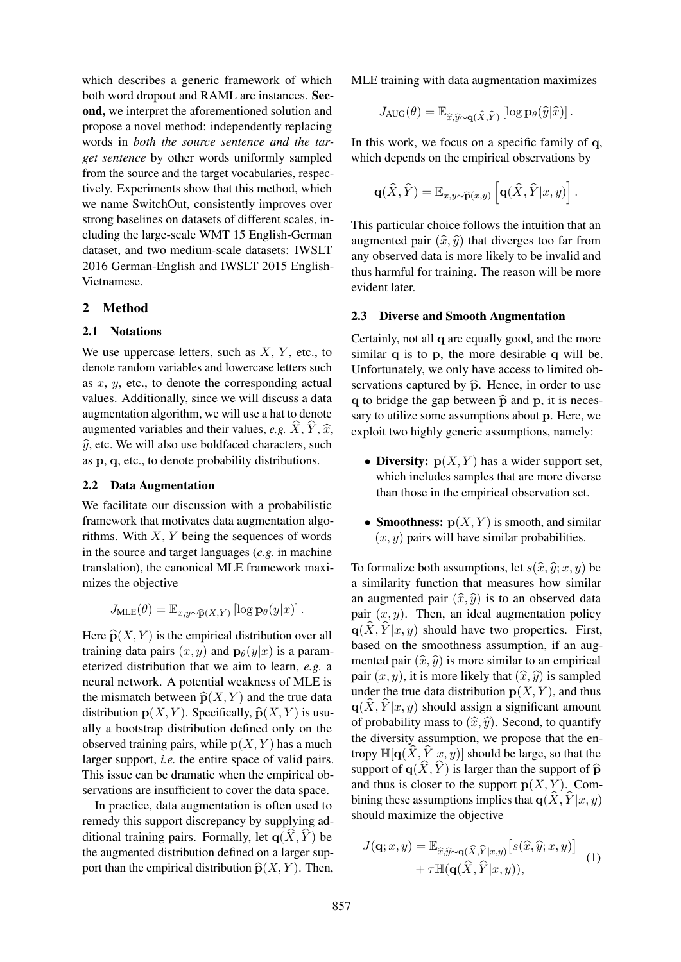which describes a generic framework of which both word dropout and RAML are instances. Second, we interpret the aforementioned solution and propose a novel method: independently replacing words in *both the source sentence and the target sentence* by other words uniformly sampled from the source and the target vocabularies, respectively. Experiments show that this method, which we name SwitchOut, consistently improves over strong baselines on datasets of different scales, including the large-scale WMT 15 English-German dataset, and two medium-scale datasets: IWSLT 2016 German-English and IWSLT 2015 English-Vietnamese.

# 2 Method

## 2.1 Notations

We use uppercase letters, such as *X*, *Y* , etc., to denote random variables and lowercase letters such as *x*, *y*, etc., to denote the corresponding actual values. Additionally, since we will discuss a data augmentation algorithm, we will use a hat to denote augmented variables and their values, *e.g.*  $\hat{X}, \hat{Y}, \hat{x}$ ,  $\hat{y}$ , etc. We will also use boldfaced characters, such as p, q, etc., to denote probability distributions.

#### <span id="page-1-1"></span>2.2 Data Augmentation

We facilitate our discussion with a probabilistic framework that motivates data augmentation algorithms. With *X*, *Y* being the sequences of words in the source and target languages (*e.g.* in machine translation), the canonical MLE framework maximizes the objective

$$
J_{\text{MLE}}(\theta) = \mathbb{E}_{x, y \sim \widehat{\mathbf{p}}(X, Y)} \left[ \log \mathbf{p}_{\theta}(y|x) \right].
$$

Here  $\widehat{\mathbf{p}}(X, Y)$  is the empirical distribution over all training data pairs  $(x, y)$  and  $\mathbf{p}_{\theta}(y|x)$  is a parameterized distribution that we aim to learn, *e.g.* a neural network. A potential weakness of MLE is the mismatch between  $\widehat{\mathbf{p}}(X, Y)$  and the true data distribution  $p(X, Y)$ . Specifically,  $\hat{p}(X, Y)$  is usually a bootstrap distribution defined only on the observed training pairs, while  $p(X, Y)$  has a much larger support, *i.e.* the entire space of valid pairs. This issue can be dramatic when the empirical observations are insufficient to cover the data space.

In practice, data augmentation is often used to remedy this support discrepancy by supplying additional training pairs. Formally, let  $q(X, Y)$  be the augmented distribution defined on a larger support than the empirical distribution  $\widehat{\mathbf{p}}(X, Y)$ . Then,

MLE training with data augmentation maximizes

$$
J_{\text{AUG}}(\theta) = \mathbb{E}_{\widehat{x}, \widehat{y} \sim \mathbf{q}(\widehat{X}, \widehat{Y})} [\log \mathbf{p}_{\theta}(\widehat{y}|\widehat{x})].
$$

In this work, we focus on a specific family of q, which depends on the empirical observations by

$$
\mathbf{q}(\widehat{X},\widehat{Y})=\mathbb{E}_{x,y\sim\widehat{\mathbf{p}}(x,y)}\left[\mathbf{q}(\widehat{X},\widehat{Y}|x,y)\right].
$$

This particular choice follows the intuition that an augmented pair  $(\hat{x}, \hat{y})$  that diverges too far from any observed data is more likely to be invalid and thus harmful for training. The reason will be more evident later.

#### 2.3 Diverse and Smooth Augmentation

Certainly, not all q are equally good, and the more similar q is to p, the more desirable q will be. Unfortunately, we only have access to limited observations captured by  $\hat{p}$ . Hence, in order to use q to bridge the gap between  $\hat{p}$  and p, it is necessary to utilize some assumptions about p. Here, we exploit two highly generic assumptions, namely:

- Diversity:  $p(X, Y)$  has a wider support set, which includes samples that are more diverse than those in the empirical observation set.
- **Smoothness:**  $p(X, Y)$  is smooth, and similar  $(x, y)$  pairs will have similar probabilities.

To formalize both assumptions, let  $s(\hat{x}, \hat{y}; x, y)$  be a similarity function that measures how similar an augmented pair  $(\hat{x}, \hat{y})$  is to an observed data pair  $(x, y)$ . Then, an ideal augmentation policy  $q(X, Y|x, y)$  should have two properties. First, based on the smoothness assumption, if an augmented pair  $(\hat{x}, \hat{y})$  is more similar to an empirical pair  $(x, y)$ , it is more likely that  $(\hat{x}, \hat{y})$  is sampled under the true data distribution  $p(X, Y)$ , and thus  $q(\widehat{X}, \widehat{Y}|x, y)$  should assign a significant amount of probability mass to  $(\hat{x}, \hat{y})$ . Second, to quantify the diversity assumption, we propose that the entropy  $\mathbb{H}[q(\hat{X}, \hat{Y}|x, y)]$  should be large, so that the support of  $q(\widehat{X}, \widehat{Y})$  is larger than the support of  $\widehat{p}$ and thus is closer to the support  $p(X, Y)$ . Combining these assumptions implies that  $q(X, \hat{Y}|x, y)$ should maximize the objective

<span id="page-1-0"></span>
$$
J(\mathbf{q}; x, y) = \mathbb{E}_{\widehat{x}, \widehat{y} \sim \mathbf{q}(\widehat{X}, \widehat{Y}|x, y)} [s(\widehat{x}, \widehat{y}; x, y)] + \tau \mathbb{H}(\mathbf{q}(\widehat{X}, \widehat{Y}|x, y)),
$$
(1)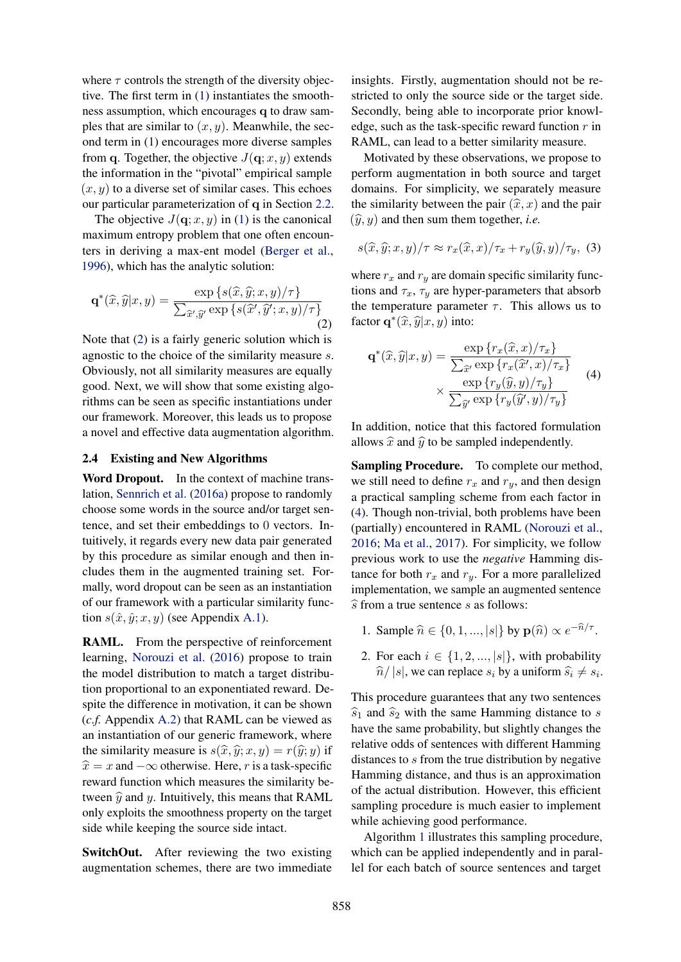where  $\tau$  controls the strength of the diversity objective. The first term in [\(1\)](#page-1-0) instantiates the smoothness assumption, which encourages q to draw samples that are similar to (*x, y*). Meanwhile, the second term in [\(1\)](#page-1-0) encourages more diverse samples from q. Together, the objective  $J(q; x, y)$  extends the information in the "pivotal" empirical sample  $(x, y)$  to a diverse set of similar cases. This echoes our particular parameterization of q in Section [2.2.](#page-1-1)

The objective  $J(q; x, y)$  in [\(1\)](#page-1-0) is the canonical maximum entropy problem that one often encounters in deriving a max-ent model [\(Berger et al.,](#page-5-12) [1996\)](#page-5-12), which has the analytic solution:

$$
\mathbf{q}^*(\widehat{x}, \widehat{y}|x, y) = \frac{\exp\left\{s(\widehat{x}, \widehat{y}; x, y)/\tau\right\}}{\sum_{\widehat{x}', \widehat{y}'} \exp\left\{s(\widehat{x}', \widehat{y}'; x, y)/\tau\right\}}
$$
(2)

Note that [\(2\)](#page-2-0) is a fairly generic solution which is agnostic to the choice of the similarity measure *s*. Obviously, not all similarity measures are equally good. Next, we will show that some existing algorithms can be seen as specific instantiations under our framework. Moreover, this leads us to propose a novel and effective data augmentation algorithm.

### <span id="page-2-2"></span>2.4 Existing and New Algorithms

Word Dropout. In the context of machine translation, [Sennrich et al.](#page-5-0) [\(2016a\)](#page-5-0) propose to randomly choose some words in the source and/or target sentence, and set their embeddings to 0 vectors. Intuitively, it regards every new data pair generated by this procedure as similar enough and then includes them in the augmented training set. Formally, word dropout can be seen as an instantiation of our framework with a particular similarity function  $s(\hat{x}, \hat{y}; x, y)$  (see Appendix [A.1\)](#page-0-0).

RAML. From the perspective of reinforcement learning, [Norouzi et al.](#page-5-11) [\(2016\)](#page-5-11) propose to train the model distribution to match a target distribution proportional to an exponentiated reward. Despite the difference in motivation, it can be shown (*c.f.* Appendix [A.2\)](#page-0-1) that RAML can be viewed as an instantiation of our generic framework, where the similarity measure is  $s(\hat{x}, \hat{y}; x, y) = r(\hat{y}; y)$  if  $\hat{x} = x$  and  $-\infty$  otherwise. Here, *r* is a task-specific reward function which measures the similarity between  $\hat{y}$  and *y*. Intuitively, this means that RAML only exploits the smoothness property on the target side while keeping the source side intact.

SwitchOut. After reviewing the two existing augmentation schemes, there are two immediate

insights. Firstly, augmentation should not be restricted to only the source side or the target side. Secondly, being able to incorporate prior knowledge, such as the task-specific reward function *r* in RAML, can lead to a better similarity measure.

Motivated by these observations, we propose to perform augmentation in both source and target domains. For simplicity, we separately measure the similarity between the pair  $(\hat{x}, x)$  and the pair  $(\hat{y}, y)$  and then sum them together, *i.e.* 

$$
s(\widehat{x}, \widehat{y}; x, y) / \tau \approx r_x(\widehat{x}, x) / \tau_x + r_y(\widehat{y}, y) / \tau_y, \tag{3}
$$

<span id="page-2-0"></span>where  $r_x$  and  $r_y$  are domain specific similarity functions and  $\tau_x$ ,  $\tau_y$  are hyper-parameters that absorb the temperature parameter  $\tau$ . This allows us to factor  $\mathbf{q}^*(\widehat{x}, \widehat{y}|x, y)$  into:

<span id="page-2-1"></span>
$$
\mathbf{q}^*(\widehat{x}, \widehat{y}|x, y) = \frac{\exp\left\{r_x(\widehat{x}, x)/\tau_x\right\}}{\sum_{\widehat{x}'} \exp\left\{r_x(\widehat{x}', x)/\tau_x\right\}} \times \frac{\exp\left\{r_y(\widehat{y}, y)/\tau_y\right\}}{\sum_{\widehat{y}'} \exp\left\{r_y(\widehat{y}', y)/\tau_y\right\}} \tag{4}
$$

In addition, notice that this factored formulation allows  $\hat{x}$  and  $\hat{y}$  to be sampled independently.

Sampling Procedure. To complete our method, we still need to define  $r_x$  and  $r_y$ , and then design a practical sampling scheme from each factor in [\(4\)](#page-2-1). Though non-trivial, both problems have been (partially) encountered in RAML [\(Norouzi et al.,](#page-5-11) [2016;](#page-5-11) [Ma et al.,](#page-5-13) [2017\)](#page-5-13). For simplicity, we follow previous work to use the *negative* Hamming distance for both  $r_x$  and  $r_y$ . For a more parallelized implementation, we sample an augmented sentence  $\widehat{s}$  from a true sentence *s* as follows:

- 1. Sample  $\hat{n} \in \{0, 1, ..., |s|\}$  by  $\mathbf{p}(\hat{n}) \propto e^{-\hat{n}/\tau}$ .
- 2. For each  $i \in \{1, 2, ..., |s|\}$ , with probability  $\hat{n}/|s|$ , we can replace  $s_i$  by a uniform  $\hat{s}_i \neq s_i$ .

This procedure guarantees that any two sentences  $\widehat{s}_1$  and  $\widehat{s}_2$  with the same Hamming distance to *s* have the same probability, but slightly changes the relative odds of sentences with different Hamming distances to *s* from the true distribution by negative Hamming distance, and thus is an approximation of the actual distribution. However, this efficient sampling procedure is much easier to implement while achieving good performance.

Algorithm [1](#page-3-0) illustrates this sampling procedure, which can be applied independently and in parallel for each batch of source sentences and target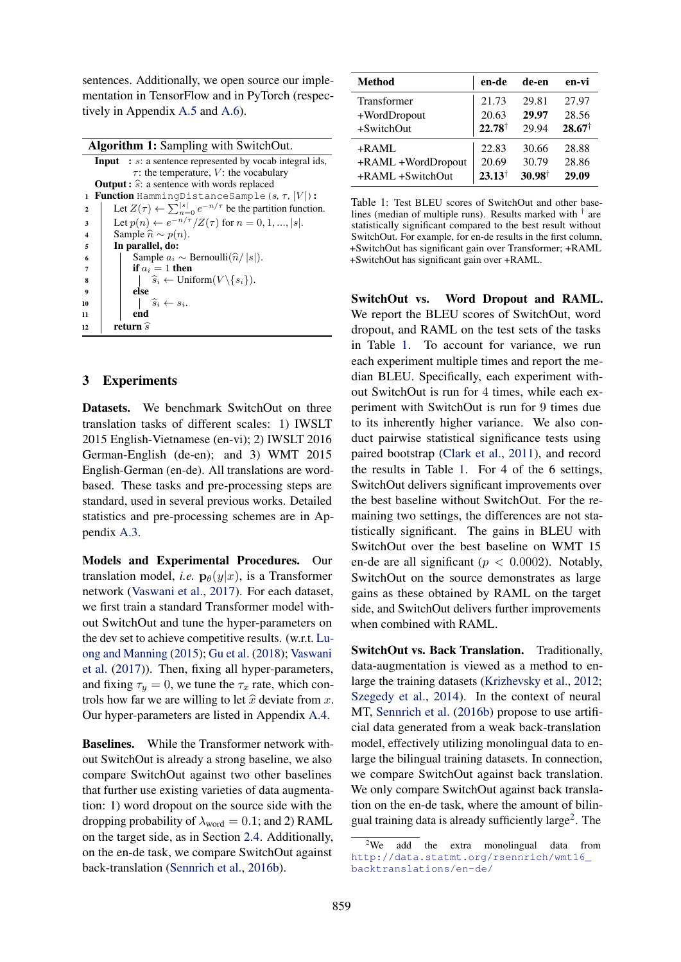sentences. Additionally, we open source our implementation in TensorFlow and in PyTorch (respectively in Appendix [A.5](#page-0-2) and [A.6\)](#page-0-3).

<span id="page-3-0"></span>

|                     | <b>Algorithm 1:</b> Sampling with SwitchOut.                                     |  |  |  |  |  |
|---------------------|----------------------------------------------------------------------------------|--|--|--|--|--|
|                     | <b>Input</b> : s: a sentence represented by vocab integral ids,                  |  |  |  |  |  |
|                     | $\tau$ : the temperature, V: the vocabulary                                      |  |  |  |  |  |
|                     | <b>Output:</b> $\hat{s}$ : a sentence with words replaced                        |  |  |  |  |  |
|                     | <b>Function</b> HammingDistanceSample $(s, \tau,  V )$ :<br>1                    |  |  |  |  |  |
| $\mathbf{2}$        | Let $Z(\tau) \leftarrow \sum_{n=0}^{ s } e^{-n/\tau}$ be the partition function. |  |  |  |  |  |
| 3                   | Let $p(n) \leftarrow e^{-n/\tau}/Z(\tau)$ for $n = 0, 1, ,  s $ .                |  |  |  |  |  |
| $\overline{\bf{4}}$ | Sample $\hat{n} \sim p(n)$ .                                                     |  |  |  |  |  |
| 5                   | In parallel, do:                                                                 |  |  |  |  |  |
| 6                   | Sample $a_i \sim \text{Bernoulli}(\hat{n}/ s )$ .                                |  |  |  |  |  |
| 7                   | if $a_i = 1$ then                                                                |  |  |  |  |  |
| 8                   | $\widehat{s}_i \leftarrow \text{Uniform}(V \setminus \{s_i\}).$                  |  |  |  |  |  |
| 9                   | else                                                                             |  |  |  |  |  |
| 10                  | $\widehat{s}_i \leftarrow s_i.$                                                  |  |  |  |  |  |
| 11                  | end                                                                              |  |  |  |  |  |
| 12                  | return $\widehat{s}$                                                             |  |  |  |  |  |

# 3 Experiments

Datasets. We benchmark SwitchOut on three translation tasks of different scales: 1) IWSLT 2015 English-Vietnamese (en-vi); 2) IWSLT 2016 German-English (de-en); and 3) WMT 2015 English-German (en-de). All translations are wordbased. These tasks and pre-processing steps are standard, used in several previous works. Detailed statistics and pre-processing schemes are in Appendix [A.3.](#page-0-4)

Models and Experimental Procedures. Our translation model, *i.e.*  $\mathbf{p}_{\theta}(y|x)$ , is a Transformer network [\(Vaswani et al.,](#page-5-14) [2017\)](#page-5-14). For each dataset, we first train a standard Transformer model without SwitchOut and tune the hyper-parameters on the dev set to achieve competitive results. (w.r.t. [Lu](#page-5-15)[ong and Manning](#page-5-15) [\(2015\)](#page-5-15); [Gu et al.](#page-5-16) [\(2018\)](#page-5-16); [Vaswani](#page-5-14) [et al.](#page-5-14) [\(2017\)](#page-5-14)). Then, fixing all hyper-parameters, and fixing  $\tau_y = 0$ , we tune the  $\tau_x$  rate, which controls how far we are willing to let  $\hat{x}$  deviate from  $x$ . Our hyper-parameters are listed in Appendix [A.4.](#page-0-5)

Baselines. While the Transformer network without SwitchOut is already a strong baseline, we also compare SwitchOut against two other baselines that further use existing varieties of data augmentation: 1) word dropout on the source side with the dropping probability of  $\lambda_{word} = 0.1$ ; and 2) RAML on the target side, as in Section [2.4.](#page-2-2) Additionally, on the en-de task, we compare SwitchOut against back-translation [\(Sennrich et al.,](#page-5-6) [2016b\)](#page-5-6).

<span id="page-3-1"></span>

| Method             | en-de             | de-en             | en-vi             |
|--------------------|-------------------|-------------------|-------------------|
| Transformer        | 21.73             | 29.81             | 27.97             |
| +WordDropout       | 20.63             | 29.97             | 28.56             |
| +SwitchOut         | $22.78^{\dagger}$ | 29.94             | $28.67^{\dagger}$ |
| $+$ RAML           | 22.83             | 30.66             | 28.88             |
| +RAML +WordDropout | 20.69             | 30.79             | 28.86             |
| +RAML +SwitchOut   | $23.13^{\dagger}$ | $30.98^{\dagger}$ | 29.09             |

Table 1: Test BLEU scores of SwitchOut and other baselines (median of multiple runs). Results marked with *†* are statistically significant compared to the best result without SwitchOut. For example, for en-de results in the first column, +SwitchOut has significant gain over Transformer; +RAML +SwitchOut has significant gain over +RAML.

SwitchOut vs. Word Dropout and RAML. We report the BLEU scores of SwitchOut, word dropout, and RAML on the test sets of the tasks in Table [1.](#page-3-1) To account for variance, we run each experiment multiple times and report the median BLEU. Specifically, each experiment without SwitchOut is run for 4 times, while each experiment with SwitchOut is run for 9 times due to its inherently higher variance. We also conduct pairwise statistical significance tests using paired bootstrap [\(Clark et al.,](#page-5-17) [2011\)](#page-5-17), and record the results in Table [1.](#page-3-1) For 4 of the 6 settings, SwitchOut delivers significant improvements over the best baseline without SwitchOut. For the remaining two settings, the differences are not statistically significant. The gains in BLEU with SwitchOut over the best baseline on WMT 15 en-de are all significant ( $p < 0.0002$ ). Notably, SwitchOut on the source demonstrates as large gains as these obtained by RAML on the target side, and SwitchOut delivers further improvements when combined with RAML.

SwitchOut vs. Back Translation. Traditionally, data-augmentation is viewed as a method to enlarge the training datasets [\(Krizhevsky et al.,](#page-5-18) [2012;](#page-5-18) [Szegedy et al.,](#page-5-19) [2014\)](#page-5-19). In the context of neural MT, [Sennrich et al.](#page-5-6) [\(2016b\)](#page-5-6) propose to use artificial data generated from a weak back-translation model, effectively utilizing monolingual data to enlarge the bilingual training datasets. In connection, we compare SwitchOut against back translation. We only compare SwitchOut against back translation on the en-de task, where the amount of bilingual training data is already sufficiently large<sup>2</sup>. The

<span id="page-3-2"></span> $2$ We add the extra monolingual data from [http://data.statmt.org/rsennrich/wmt16\\_](http://data.statmt.org/rsennrich/wmt16_backtranslations/en-de/) [backtranslations/en-de/](http://data.statmt.org/rsennrich/wmt16_backtranslations/en-de/)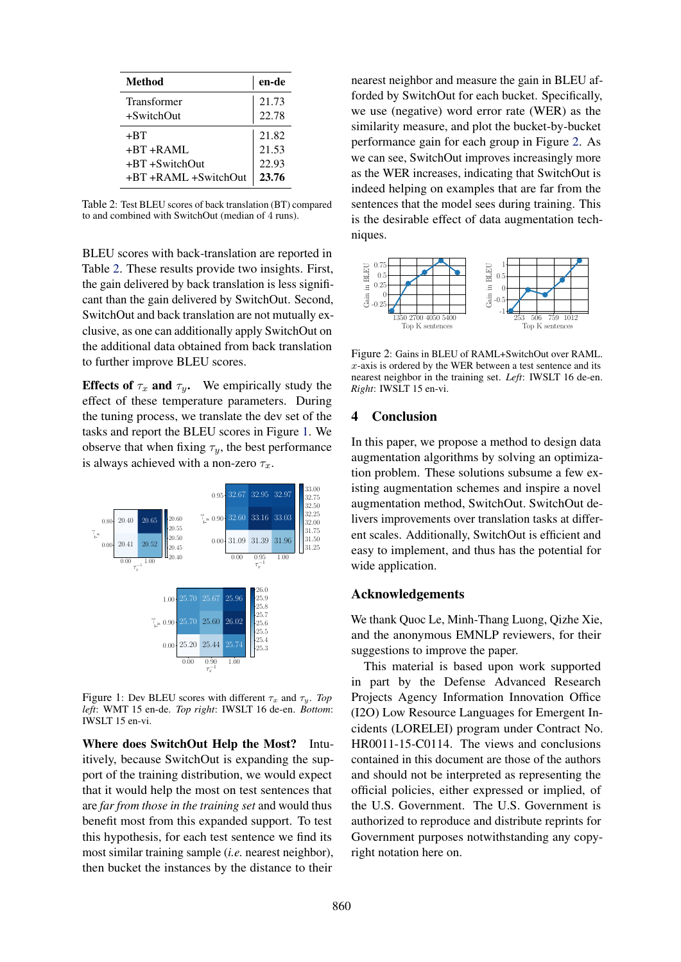<span id="page-4-0"></span>

| <b>Method</b>        | en-de |
|----------------------|-------|
| Transformer          | 21.73 |
| $+$ SwitchOut        | 22.78 |
| +BT                  | 21.82 |
| $+BT+RAMI$           | 21.53 |
| $+BT + SwitchOut$    | 22.93 |
| +BT +RAML +SwitchOut | 23.76 |

Table 2: Test BLEU scores of back translation (BT) compared to and combined with SwitchOut (median of 4 runs).

BLEU scores with back-translation are reported in Table [2.](#page-4-0) These results provide two insights. First, the gain delivered by back translation is less significant than the gain delivered by SwitchOut. Second, SwitchOut and back translation are not mutually exclusive, as one can additionally apply SwitchOut on the additional data obtained from back translation to further improve BLEU scores.

Effects of  $\tau_x$  and  $\tau_y$ . We empirically study the effect of these temperature parameters. During the tuning process, we translate the dev set of the tasks and report the BLEU scores in Figure [1.](#page-4-1) We observe that when fixing  $\tau_y$ , the best performance is always achieved with a non-zero  $\tau_x$ .



<span id="page-4-1"></span>Figure 1: Dev BLEU scores with different  $\tau_x$  and  $\tau_y$ . *Top left*: WMT 15 en-de. *Top right*: IWSLT 16 de-en. *Bottom*: IWSLT 15 en-vi.

Where does SwitchOut Help the Most? Intuitively, because SwitchOut is expanding the support of the training distribution, we would expect that it would help the most on test sentences that are *far from those in the training set* and would thus benefit most from this expanded support. To test this hypothesis, for each test sentence we find its most similar training sample (*i.e.* nearest neighbor), then bucket the instances by the distance to their

nearest neighbor and measure the gain in BLEU afforded by SwitchOut for each bucket. Specifically, we use (negative) word error rate (WER) as the similarity measure, and plot the bucket-by-bucket performance gain for each group in Figure [2.](#page-4-2) As we can see, SwitchOut improves increasingly more as the WER increases, indicating that SwitchOut is indeed helping on examples that are far from the sentences that the model sees during training. This is the desirable effect of data augmentation techniques.



<span id="page-4-2"></span>Figure 2: Gains in BLEU of RAML+SwitchOut over RAML. *x*-axis is ordered by the WER between a test sentence and its nearest neighbor in the training set. *Left*: IWSLT 16 de-en. *Right*: IWSLT 15 en-vi.

### 4 Conclusion

In this paper, we propose a method to design data augmentation algorithms by solving an optimization problem. These solutions subsume a few existing augmentation schemes and inspire a novel augmentation method, SwitchOut. SwitchOut delivers improvements over translation tasks at different scales. Additionally, SwitchOut is efficient and easy to implement, and thus has the potential for wide application.

### Acknowledgements

We thank Quoc Le, Minh-Thang Luong, Qizhe Xie, and the anonymous EMNLP reviewers, for their suggestions to improve the paper.

This material is based upon work supported in part by the Defense Advanced Research Projects Agency Information Innovation Office (I2O) Low Resource Languages for Emergent Incidents (LORELEI) program under Contract No. HR0011-15-C0114. The views and conclusions contained in this document are those of the authors and should not be interpreted as representing the official policies, either expressed or implied, of the U.S. Government. The U.S. Government is authorized to reproduce and distribute reprints for Government purposes notwithstanding any copyright notation here on.